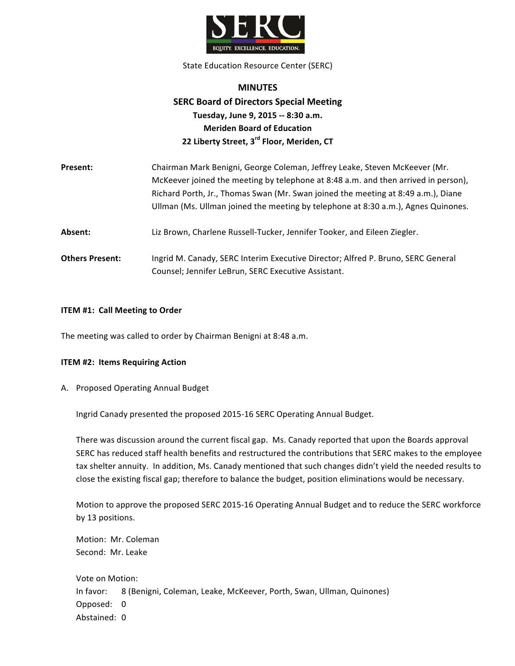

State Education Resource Center (SERC)

# **MINUTES SERC Board of Directors Special Meeting Tuesday, June 9, 2015 -- 8:30 a.m. Meriden Board of Education 22 Liberty Street, 3rd Floor, Meriden, CT**

| Present:               | Chairman Mark Benigni, George Coleman, Jeffrey Leake, Steven McKeever (Mr.<br>McKeever joined the meeting by telephone at 8:48 a.m. and then arrived in person),<br>Richard Porth, Jr., Thomas Swan (Mr. Swan joined the meeting at 8:49 a.m.), Diane<br>Ullman (Ms. Ullman joined the meeting by telephone at 8:30 a.m.), Agnes Quinones. |
|------------------------|--------------------------------------------------------------------------------------------------------------------------------------------------------------------------------------------------------------------------------------------------------------------------------------------------------------------------------------------|
| Absent:                | Liz Brown, Charlene Russell-Tucker, Jennifer Tooker, and Eileen Ziegler.                                                                                                                                                                                                                                                                   |
| <b>Others Present:</b> | Ingrid M. Canady, SERC Interim Executive Director; Alfred P. Bruno, SERC General<br>Counsel; Jennifer LeBrun, SERC Executive Assistant.                                                                                                                                                                                                    |

### **ITEM #1: Call Meeting to Order**

The meeting was called to order by Chairman Benigni at 8:48 a.m.

#### **ITEM #2: Items Requiring Action**

A. Proposed Operating Annual Budget

Ingrid Canady presented the proposed 2015-16 SERC Operating Annual Budget.

There was discussion around the current fiscal gap. Ms. Canady reported that upon the Boards approval SERC has reduced staff health benefits and restructured the contributions that SERC makes to the employee tax shelter annuity. In addition, Ms. Canady mentioned that such changes didn't yield the needed results to close the existing fiscal gap; therefore to balance the budget, position eliminations would be necessary.

Motion to approve the proposed SERC 2015-16 Operating Annual Budget and to reduce the SERC workforce by 13 positions.

Motion: Mr. Coleman Second: Mr. Leake

Vote on Motion: In favor: 8 (Benigni, Coleman, Leake, McKeever, Porth, Swan, Ullman, Quinones) Opposed: 0 Abstained: 0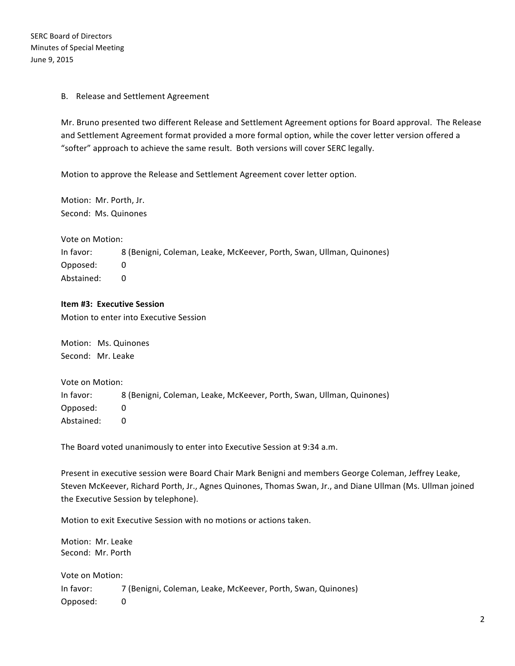SERC Board of Directors Minutes of Special Meeting June 9, 2015

### B. Release and Settlement Agreement

Mr. Bruno presented two different Release and Settlement Agreement options for Board approval. The Release and Settlement Agreement format provided a more formal option, while the cover letter version offered a "softer" approach to achieve the same result. Both versions will cover SERC legally.

Motion to approve the Release and Settlement Agreement cover letter option.

Motion: Mr. Porth, Jr. Second: Ms. Quinones

Vote on Motion:

In favor: 8 (Benigni, Coleman, Leake, McKeever, Porth, Swan, Ullman, Quinones) Opposed: 0 Abstained: 0

## **Item #3: Executive Session**

Motion to enter into Executive Session

Motion: Ms. Quinones Second: Mr. Leake

Vote on Motion: In favor: 8 (Benigni, Coleman, Leake, McKeever, Porth, Swan, Ullman, Quinones) Opposed: 0 Abstained: 0

The Board voted unanimously to enter into Executive Session at 9:34 a.m.

Present in executive session were Board Chair Mark Benigni and members George Coleman, Jeffrey Leake, Steven McKeever, Richard Porth, Jr., Agnes Quinones, Thomas Swan, Jr., and Diane Ullman (Ms. Ullman joined the Executive Session by telephone).

Motion to exit Executive Session with no motions or actions taken.

Motion: Mr. Leake Second: Mr. Porth

Vote on Motion: In favor: 7 (Benigni, Coleman, Leake, McKeever, Porth, Swan, Quinones) Opposed: 0